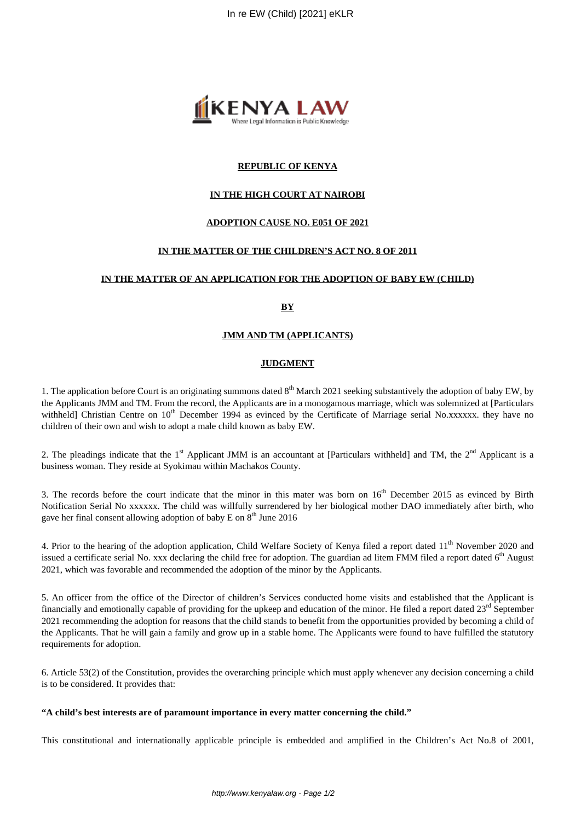

# **REPUBLIC OF KENYA**

# **IN THE HIGH COURT AT NAIROBI**

# **ADOPTION CAUSE NO. E051 OF 2021**

# **IN THE MATTER OF THE CHILDREN'S ACT NO. 8 OF 2011**

#### **IN THE MATTER OF AN APPLICATION FOR THE ADOPTION OF BABY EW (CHILD)**

**BY**

#### **JMM AND TM (APPLICANTS)**

#### **JUDGMENT**

1. The application before Court is an originating summons dated  $8<sup>th</sup>$  March 2021 seeking substantively the adoption of baby EW, by the Applicants JMM and TM. From the record, the Applicants are in a monogamous marriage, which was solemnized at [Particulars withheld] Christian Centre on  $10<sup>th</sup>$  December 1994 as evinced by the Certificate of Marriage serial No.xxxxxx. they have no children of their own and wish to adopt a male child known as baby EW.

2. The pleadings indicate that the  $1<sup>st</sup>$  Applicant JMM is an accountant at [Particulars withheld] and TM, the  $2<sup>nd</sup>$  Applicant is a business woman. They reside at Syokimau within Machakos County.

3. The records before the court indicate that the minor in this mater was born on  $16<sup>th</sup>$  December 2015 as evinced by Birth Notification Serial No xxxxxx. The child was willfully surrendered by her biological mother DAO immediately after birth, who gave her final consent allowing adoption of baby E on  $8<sup>th</sup>$  June 2016

4. Prior to the hearing of the adoption application, Child Welfare Society of Kenya filed a report dated 11<sup>th</sup> November 2020 and issued a certificate serial No. xxx declaring the child free for adoption. The guardian ad litem FMM filed a report dated 6<sup>th</sup> August 2021, which was favorable and recommended the adoption of the minor by the Applicants.

5. An officer from the office of the Director of children's Services conducted home visits and established that the Applicant is financially and emotionally capable of providing for the upkeep and education of the minor. He filed a report dated 23<sup>rd</sup> September 2021 recommending the adoption for reasons that the child stands to benefit from the opportunities provided by becoming a child of the Applicants. That he will gain a family and grow up in a stable home. The Applicants were found to have fulfilled the statutory requirements for adoption.

6. Article 53(2) of the Constitution, provides the overarching principle which must apply whenever any decision concerning a child is to be considered. It provides that:

#### **"A child's best interests are of paramount importance in every matter concerning the child."**

This constitutional and internationally applicable principle is embedded and amplified in the Children's Act No.8 of 2001,